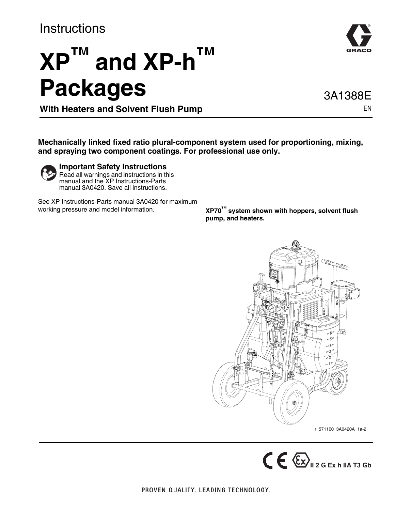### **Instructions**

# **XP™ and XP-h™ Packages**

3A1388E

EN

**With Heaters and Solvent Flush Pump**

**Mechanically linked fixed ratio plural-component system used for proportioning, mixing, and spraying two component coatings. For professional use only.**



**Important Safety Instructions** Read all warnings and instructions in this

manual and the XP Instructions-Parts manual 3A0420. Save all instructions.

See XP Instructions-Parts manual 3A0420 for maximum working pressure and model information.

**XP70™ system shown with hoppers, solvent flush pump, and heaters.**



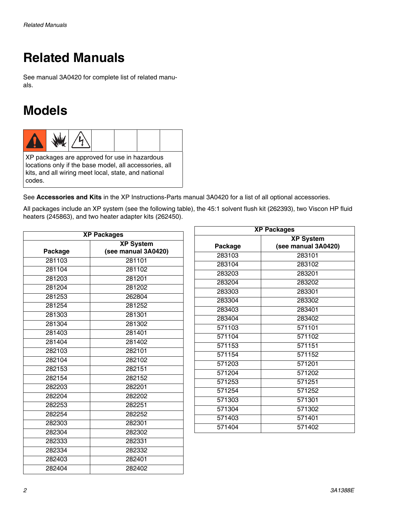# **Related Manuals**

See manual 3A0420 for complete list of related manuals.

# **Models**



XP packages are approved for use in hazardous locations only if the base model, all accessories, all kits, and all wiring meet local, state, and national codes.

See **Accessories and Kits** in the XP Instructions-Parts manual 3A0420 for a list of all optional accessories.

All packages include an XP system (see the following table), the 45:1 solvent flush kit (262393), two Viscon HP fluid heaters (245863), and two heater adapter kits (262450).

| <b>XP Packages</b> |                     |  |
|--------------------|---------------------|--|
|                    | <b>XP System</b>    |  |
| Package            | (see manual 3A0420) |  |
| 281103             | 281101              |  |
| 281104             | 281102              |  |
| 281203             | 281201              |  |
| 281204             | 281202              |  |
| 281253             | 262804              |  |
| 281254             | 281252              |  |
| 281303             | 281301              |  |
| 281304             | 281302              |  |
| 281403             | 281401              |  |
| 281404             | 281402              |  |
| 282103             | 282101              |  |
| 282104             | 282102              |  |
| 282153             | 282151              |  |
| 282154             | 282152              |  |
| 282203             | 282201              |  |
| 282204             | 282202              |  |
| 282253             | 282251              |  |
| 282254             | 282252              |  |
| 282303             | 282301              |  |
| 282304             | 282302              |  |
| 282333             | 282331              |  |
| 282334             | 282332              |  |
| 282403             | 282401              |  |
| 282404             | 282402              |  |

| <b>XP Packages</b> |                     |  |
|--------------------|---------------------|--|
|                    | <b>XP System</b>    |  |
| Package            | (see manual 3A0420) |  |
| 283103             | 283101              |  |
| 283104             | 283102              |  |
| 283203             | 283201              |  |
| 283204             | 283202              |  |
| 283303             | 283301              |  |
| 283304             | 283302              |  |
| 283403             | 283401              |  |
| 283404             | 283402              |  |
| 571103             | 571101              |  |
| 571104             | 571102              |  |
| 571153             | 571151              |  |
| 571154             | 571152              |  |
| 571203             | 571201              |  |
| 571204             | 571202              |  |
| 571253             | 571251              |  |
| 571254             | 571252              |  |
| 571303             | 571301              |  |
| 571304             | 571302              |  |
| 571403             | 571401              |  |
| 571404             | 571402              |  |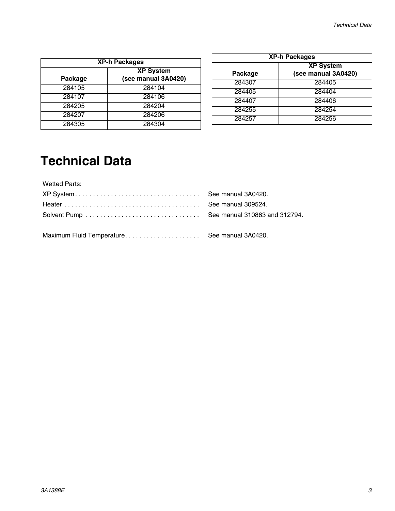| <b>XP-h Packages</b> |                                         |  |
|----------------------|-----------------------------------------|--|
| Package              | <b>XP System</b><br>(see manual 3A0420) |  |
| 284105               | 284104                                  |  |
| 284107               | 284106                                  |  |
| 284205               | 284204                                  |  |
| 284207               | 284206                                  |  |
| 284305               | 284304                                  |  |

| <b>XP-h Packages</b> |                                         |  |
|----------------------|-----------------------------------------|--|
| Package              | <b>XP System</b><br>(see manual 3A0420) |  |
| 284307               | 284405                                  |  |
| 284405               | 284404                                  |  |
| 284407               | 284406                                  |  |
| 284255               | 284254                                  |  |
| 284257               | 284256                                  |  |

# **Technical Data**

Wetted Parts: